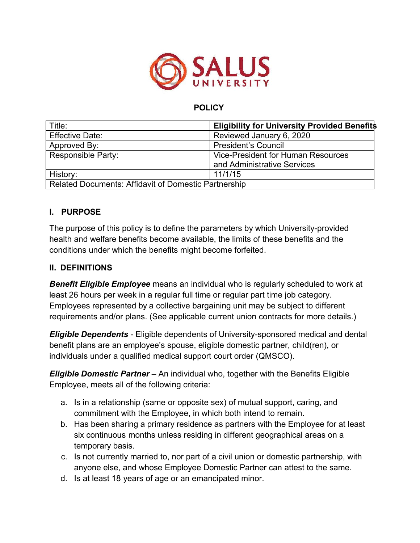

### **POLICY**

| Title:                                                      | <b>Eligibility for University Provided Benefits</b> |
|-------------------------------------------------------------|-----------------------------------------------------|
| <b>Effective Date:</b>                                      | Reviewed January 6, 2020                            |
| Approved By:                                                | <b>President's Council</b>                          |
| <b>Responsible Party:</b>                                   | <b>Vice-President for Human Resources</b>           |
|                                                             | and Administrative Services                         |
| History:                                                    | 11/1/15                                             |
| <b>Related Documents: Affidavit of Domestic Partnership</b> |                                                     |

### **I. PURPOSE**

The purpose of this policy is to define the parameters by which University-provided health and welfare benefits become available, the limits of these benefits and the conditions under which the benefits might become forfeited.

#### **II. DEFINITIONS**

*Benefit Eligible Employee* means an individual who is regularly scheduled to work at least 26 hours per week in a regular full time or regular part time job category. Employees represented by a collective bargaining unit may be subject to different requirements and/or plans. (See applicable current union contracts for more details.)

*Eligible Dependents* - Eligible dependents of University-sponsored medical and dental benefit plans are an employee's spouse, eligible domestic partner, child(ren), or individuals under a qualified medical support court order (QMSCO).

*Eligible Domestic Partner* – An individual who, together with the Benefits Eligible Employee, meets all of the following criteria:

- a. Is in a relationship (same or opposite sex) of mutual support, caring, and commitment with the Employee, in which both intend to remain.
- b. Has been sharing a primary residence as partners with the Employee for at least six continuous months unless residing in different geographical areas on a temporary basis.
- c. Is not currently married to, nor part of a civil union or domestic partnership, with anyone else, and whose Employee Domestic Partner can attest to the same.
- d. Is at least 18 years of age or an emancipated minor.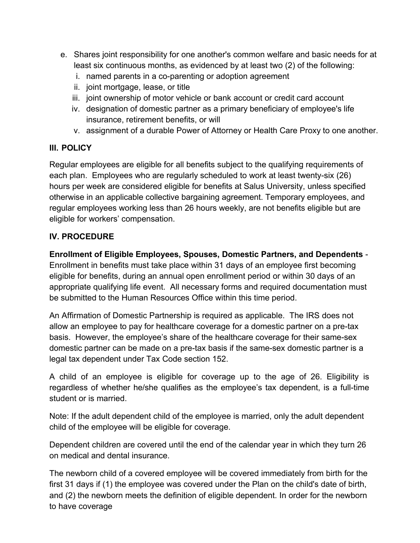- e. Shares joint responsibility for one another's common welfare and basic needs for at least six continuous months, as evidenced by at least two (2) of the following:
	- i. named parents in a co-parenting or adoption agreement
	- ii. joint mortgage, lease, or title
	- iii. joint ownership of motor vehicle or bank account or credit card account
	- iv. designation of domestic partner as a primary beneficiary of employee's life insurance, retirement benefits, or will
	- v. assignment of a durable Power of Attorney or Health Care Proxy to one another.

# **III. POLICY**

Regular employees are eligible for all benefits subject to the qualifying requirements of each plan. Employees who are regularly scheduled to work at least twenty-six (26) hours per week are considered eligible for benefits at Salus University, unless specified otherwise in an applicable collective bargaining agreement. Temporary employees, and regular employees working less than 26 hours weekly, are not benefits eligible but are eligible for workers' compensation.

# **IV. PROCEDURE**

**Enrollment of Eligible Employees, Spouses, Domestic Partners, and Dependents** -

Enrollment in benefits must take place within 31 days of an employee first becoming eligible for benefits, during an annual open enrollment period or within 30 days of an appropriate qualifying life event. All necessary forms and required documentation must be submitted to the Human Resources Office within this time period.

An Affirmation of Domestic Partnership is required as applicable. The IRS does not allow an employee to pay for healthcare coverage for a domestic partner on a pre-tax basis. However, the employee's share of the healthcare coverage for their same-sex domestic partner can be made on a pre-tax basis if the same-sex domestic partner is a legal tax dependent under Tax Code section 152.

A child of an employee is eligible for coverage up to the age of 26. Eligibility is regardless of whether he/she qualifies as the employee's tax dependent, is a full-time student or is married.

Note: If the adult dependent child of the employee is married, only the adult dependent child of the employee will be eligible for coverage.

Dependent children are covered until the end of the calendar year in which they turn 26 on medical and dental insurance.

The newborn child of a covered employee will be covered immediately from birth for the first 31 days if (1) the employee was covered under the Plan on the child's date of birth, and (2) the newborn meets the definition of eligible dependent. In order for the newborn to have coverage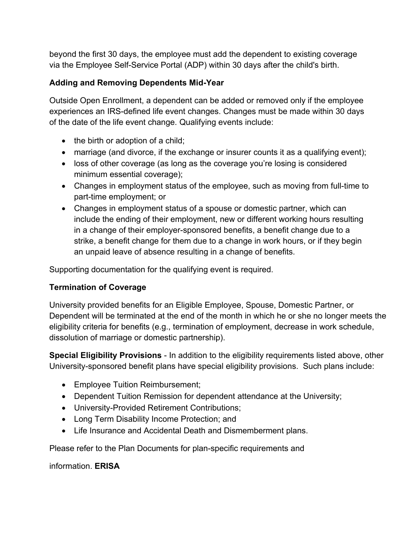beyond the first 30 days, the employee must add the dependent to existing coverage via the Employee Self-Service Portal (ADP) within 30 days after the child's birth.

# **Adding and Removing Dependents Mid-Year**

Outside Open Enrollment, a dependent can be added or removed only if the employee experiences an IRS-defined life event changes. Changes must be made within 30 days of the date of the life event change. Qualifying events include:

- the birth or adoption of a child;
- marriage (and divorce, if the exchange or insurer counts it as a qualifying event);
- loss of other coverage (as long as the coverage you're losing is considered minimum essential coverage);
- Changes in employment status of the employee, such as moving from full-time to part-time employment; or
- Changes in employment status of a spouse or domestic partner, which can include the ending of their employment, new or different working hours resulting in a change of their employer-sponsored benefits, a benefit change due to a strike, a benefit change for them due to a change in work hours, or if they begin an unpaid leave of absence resulting in a change of benefits.

Supporting documentation for the qualifying event is required.

# **Termination of Coverage**

University provided benefits for an Eligible Employee, Spouse, Domestic Partner, or Dependent will be terminated at the end of the month in which he or she no longer meets the eligibility criteria for benefits (e.g., termination of employment, decrease in work schedule, dissolution of marriage or domestic partnership).

**Special Eligibility Provisions** - In addition to the eligibility requirements listed above, other University-sponsored benefit plans have special eligibility provisions. Such plans include:

- Employee Tuition Reimbursement;
- Dependent Tuition Remission for dependent attendance at the University;
- University-Provided Retirement Contributions;
- Long Term Disability Income Protection; and
- Life Insurance and Accidental Death and Dismemberment plans.

Please refer to the Plan Documents for plan-specific requirements and

information. **ERISA**